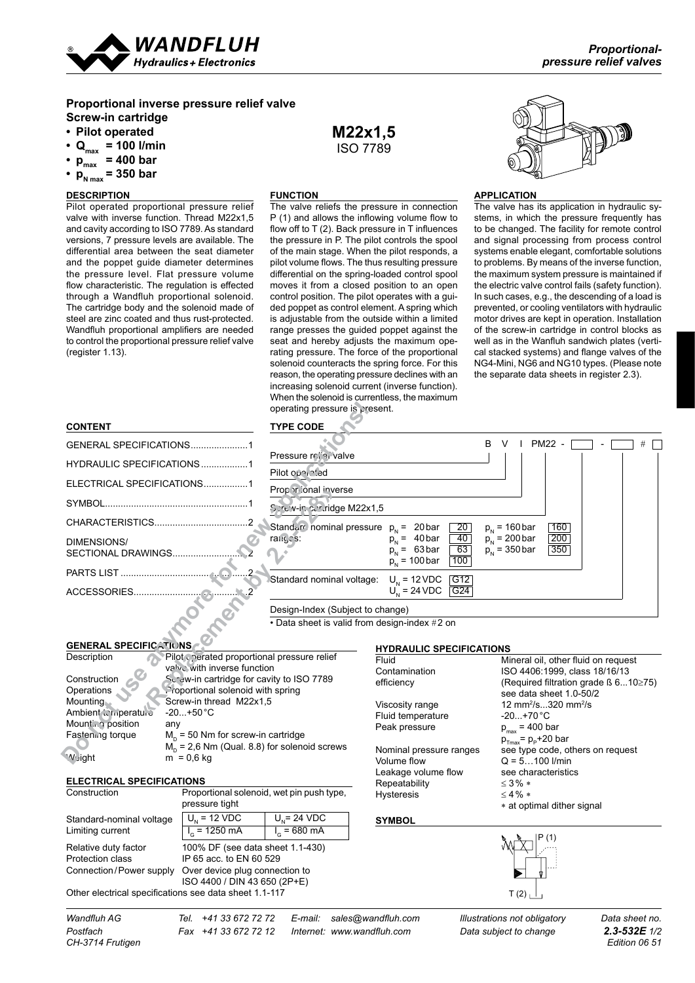

### **Proportional inverse pressure relief valve Screw-in cartridge**

- **• Pilot operated**
- $Q_{\text{max}} = 100$  l/min
- **• pmax = 400 bar**
- **• pN max = 350 bar**

#### **DESCRIPTION**

Pilot operated proportional pressure relief valve with inverse function. Thread M22x1,5 and cavity according to ISO 7789. As standard versions, 7 pressure levels are available. The differential area between the seat diameter and the poppet guide diameter determines the pressure level. Flat pressure volume flow characteristic. The regulation is effected through a Wandfluh proportional solenoid. The cartridge body and the solenoid made of steel are zinc coated and thus rust-protected. Wandfluh proportional amplifiers are needed to control the proportional pressure relief valve (register 1.13).

**M22x1,5** ISO 7789

#### **function**

The valve reliefs the pressure in connection P (1) and allows the inflowing volume flow to flow off to T (2). Back pressure in T influences the pressure in P. The pilot controls the spool of the main stage. When the pilot responds, a pilot volume flows. The thus resulting pressure differential on the spring-loaded control spool moves it from a closed position to an open control position. The pilot operates with a guided poppet as control element. A spring which is adjustable from the outside within a limited range presses the guided poppet against the seat and hereby adjusts the maximum operating pressure. The force of the proportional solenoid counteracts the spring force. For this reason, the operating pressure declines with an increasing solenoid current (inverse function). When the solenoid is currentless, the maximum operating pressure is present.



#### **application**

The valve has its application in hydraulic systems, in which the pressure frequently has to be changed. The facility for remote control and signal processing from process control systems enable elegant, comfortable solutions to problems. By means of the inverse function, the maximum system pressure is maintained if the electric valve control fails (safety function). In such cases, e.g., the descending of a load is prevented, or cooling ventilators with hydraulic motor drives are kept in operation. Installation of the screw-in cartridge in control blocks as well as in the Wanfluh sandwich plates (vertical stacked systems) and flange valves of the NG4-Mini, NG6 and NG10 types. (Please note the separate data sheets in register 2.3).

#### **CONTENT**

|                                                         |                                            | operating pressure is present.                |                                                    |                            |                                             |                                                   |  |  |
|---------------------------------------------------------|--------------------------------------------|-----------------------------------------------|----------------------------------------------------|----------------------------|---------------------------------------------|---------------------------------------------------|--|--|
| <b>CONTENT</b>                                          |                                            | <b>TYPE CODE</b>                              |                                                    |                            |                                             |                                                   |  |  |
|                                                         |                                            |                                               |                                                    | В                          | v                                           | PM22 -                                            |  |  |
| Pressure relie, valve<br>HYDRAULIC SPECIFICATIONS       |                                            |                                               |                                                    |                            |                                             |                                                   |  |  |
| Pilot operated<br>ELECTRICAL SPECIFICATIONS1            |                                            |                                               |                                                    |                            |                                             |                                                   |  |  |
|                                                         |                                            | <b>Prop</b> <i>in</i> ional inverse           |                                                    |                            |                                             |                                                   |  |  |
|                                                         |                                            | Screw-in candidge M22x1,5                     |                                                    |                            |                                             |                                                   |  |  |
|                                                         |                                            | Standare nominal pressure $p_N = 20$ bar      | 20                                                 |                            | $p_{N}$ = 160 bar                           | 160                                               |  |  |
| DIMENSIONS/                                             |                                            | ranges:                                       | 40<br>$p_{N}$ = 40 bar                             |                            | $p_{N}$ = 200 bar                           | 200                                               |  |  |
| SECTIONAL DRAWINGS                                      |                                            |                                               | 63<br>$p_{N}$ = 63 bar<br>$p_{N}$ = 100 bar<br>100 |                            | $p_{N}$ = 350 bar                           | 350                                               |  |  |
|                                                         |                                            | Standard nominal voltage:                     | $U_{N}$ = 12 VDC<br>$\sqrt{G12}$                   |                            |                                             |                                                   |  |  |
| ACCESSORIES                                             |                                            |                                               | $U_{N} = 24 \text{ VDC}$ $\overline{G24}$          |                            |                                             |                                                   |  |  |
|                                                         |                                            | Design-Index (Subject to change)              |                                                    |                            |                                             |                                                   |  |  |
|                                                         |                                            | • Data sheet is valid from design-index #2 on |                                                    |                            |                                             |                                                   |  |  |
| <b>GENERAL SPECIFICATIONS</b>                           |                                            |                                               | <b>HYDRAULIC SPECIFICATIONS</b>                    |                            |                                             |                                                   |  |  |
| Description                                             | Pilot perated proportional pressure relief |                                               | Fluid                                              |                            |                                             | Mineral oil, other fluid on request               |  |  |
|                                                         | valve with inverse function                |                                               | Contamination                                      |                            |                                             | ISO 4406:1999, class 18/16/13                     |  |  |
| Construction                                            | Screw-in cartridge for cavity to ISO 7789  |                                               | efficiency                                         |                            |                                             | (Required filtration grade $\beta$ 610 $\geq$ 75) |  |  |
| Operations                                              | Croportional solenoid with spring          |                                               |                                                    |                            |                                             | see data sheet 1.0-50/2                           |  |  |
| Screw-in thread M22x1,5<br>Mounting                     |                                            | Viscosity range                               |                                                    |                            | 12 mm <sup>2</sup> /s320 mm <sup>2</sup> /s |                                                   |  |  |
| Ambient temperature                                     | $-20+50 °C$                                |                                               | Fluid temperature                                  |                            | $-20+70$ °C                                 |                                                   |  |  |
| Mount no position<br>any                                |                                            | Peak pressure                                 |                                                    | $p_{\text{max}} = 400$ bar |                                             |                                                   |  |  |
| Fastening torque<br>$Mn$ = 50 Nm for screw-in cartridge |                                            |                                               |                                                    |                            |                                             | $p_{Tmax} = p_{P} + 20$ bar                       |  |  |
| $M_p$ = 2,6 Nm (Qual. 8.8) for solenoid screws          |                                            | Nominal pressure ranges                       |                                                    |                            | see type code, others on request            |                                                   |  |  |
| W <sub>right</sub><br>$m = 0.6$ kg                      |                                            | Volume flow<br>$Q = 5100$ I/min               |                                                    |                            |                                             |                                                   |  |  |

# **GENERAL SPECIFICATIONS**<br>Description

#### **ELECTRICAL SPECIFICATIONS**

| Construction                                           | Proportional solenoid, wet pin push type,<br>pressure tight |                        |  |  |
|--------------------------------------------------------|-------------------------------------------------------------|------------------------|--|--|
| Standard-nominal voltage                               | $U_{N}$ = 12 VDC                                            | $U_{\rm s}$ = 24 VDC   |  |  |
| Limiting current                                       | $I_{\alpha}$ = 1250 mA                                      | $I_c = 680 \text{ mA}$ |  |  |
| Relative duty factor                                   | 100% DF (see data sheet 1.1-430)                            |                        |  |  |
| Protection class                                       | IP 65 acc. to EN 60 529                                     |                        |  |  |
| Connection/Power supply                                | Over device plug connection to                              |                        |  |  |
|                                                        | ISO 4400 / DIN 43 650 (2P+E)                                |                        |  |  |
| Other electrical specifications see data sheet 1 1-117 |                                                             |                        |  |  |

ther electrical specifications see data sheet 1.1-1

*Postfach Fax +41 33 672 72 12 Internet: www.wandfluh.com Data subject to change 2.3-532E 1/2 CH-3714 Frutigen Edition 06 51*

*Wandfluh AG Tel. +41 33 672 72 72 E-mail: sales@wandfluh.com Illustrations not obligatory Data sheet no.*

| Fluid                   | Mineral oil, other fluid on request               |
|-------------------------|---------------------------------------------------|
| Contamination           | ISO 4406:1999. class 18/16/13                     |
| efficiency              | (Required filtration grade $\beta$ 610 $\geq$ 75) |
|                         | see data sheet 1.0-50/2                           |
| Viscosity range         | 12 mm <sup>2</sup> /s320 mm <sup>2</sup> /s       |
| Fluid temperature       | $-20+70$ °C                                       |
| Peak pressure           | $p_{\text{max}} = 400$ bar                        |
|                         | $p_{Tmax} = p_{P} + 20$ bar                       |
| Nominal pressure ranges | see type code, others on request                  |
| Volume flow             | $Q = 5100$ I/min                                  |
| Leakage volume flow     | see characteristics                               |
| Repeatability           | $<$ 3% $*$                                        |
| <b>Hysteresis</b>       | $<$ 4 % $*$                                       |
|                         | * at optimal dither signal                        |
| <b>AVMDAL</b>           |                                                   |



# **symbol**